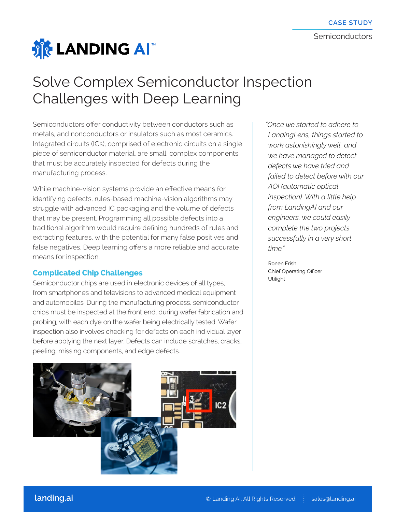

## Solve Complex Semiconductor Inspection Challenges with Deep Learning

Semiconductors offer conductivity between conductors such as metals, and nonconductors or insulators such as most ceramics. Integrated circuits (ICs), comprised of electronic circuits on a single piece of semiconductor material, are small, complex components that must be accurately inspected for defects during the manufacturing process.

While machine-vision systems provide an effective means for identifying defects, rules-based machine-vision algorithms may struggle with advanced IC packaging and the volume of defects that may be present. Programming all possible defects into a traditional algorithm would require defining hundreds of rules and extracting features, with the potential for many false positives and false negatives. Deep learning offers a more reliable and accurate means for inspection.

## **Complicated Chip Challenges**

Semiconductor chips are used in electronic devices of all types, from smartphones and televisions to advanced medical equipment and automobiles. During the manufacturing process, semiconductor chips must be inspected at the front end, during wafer fabrication and probing, with each dye on the wafer being electrically tested. Wafer inspection also involves checking for defects on each individual layer before applying the next layer. Defects can include scratches, cracks, peeling, missing components, and edge defects.



*"Once we started to adhere to LandingLens, things started to work astonishingly well, and we have managed to detect defects we have tried and failed to detect before with our AOI (automatic optical inspection). With a little help from LandingAI and our engineers, we could easily complete the two projects successfully in a very short time."*

 Ronen Frish Chief Operating Officer Utilight